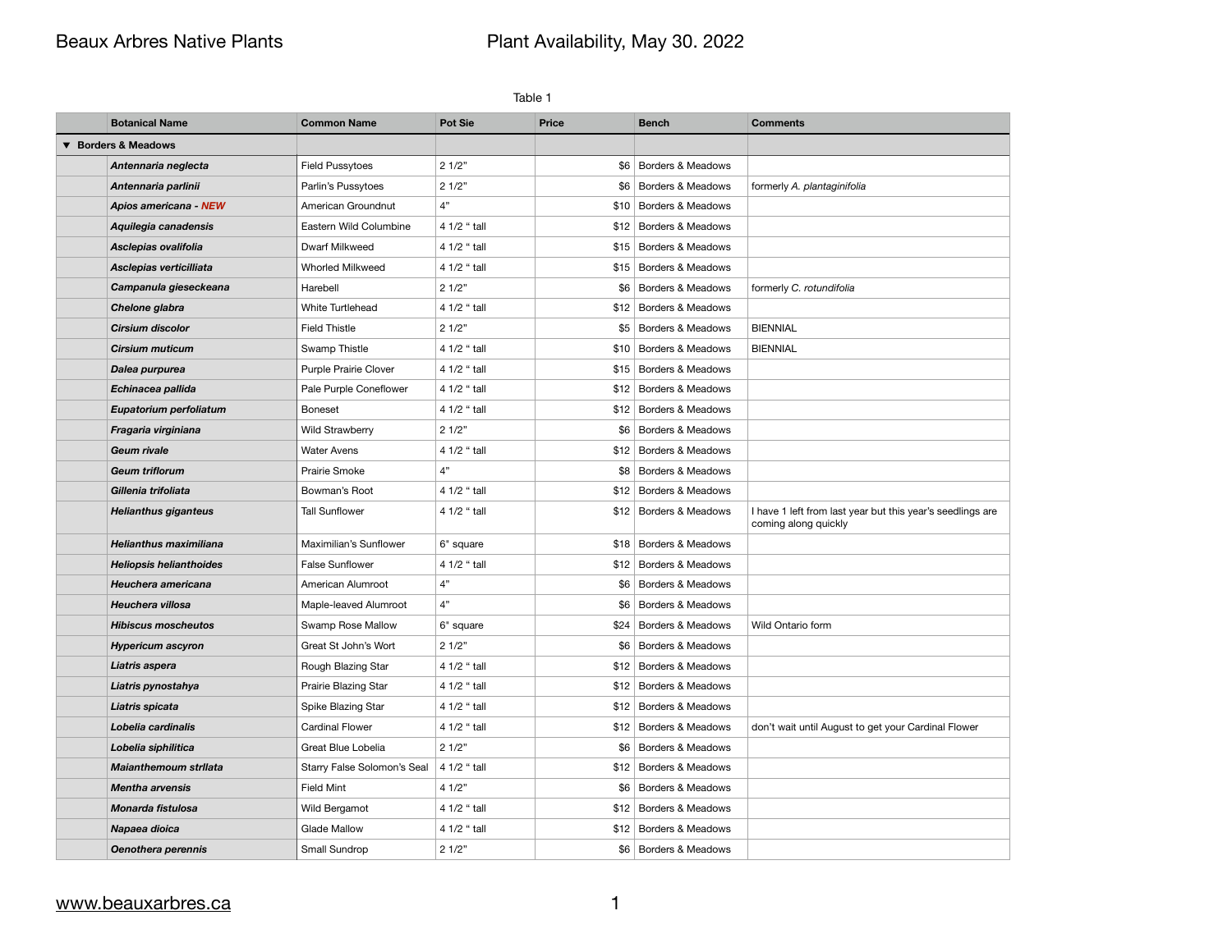# Beaux Arbres Native Plants **Plant Availability, May 30. 2022**

| Table 1 |                                |                             |                |                   |                              |                                                                                    |  |
|---------|--------------------------------|-----------------------------|----------------|-------------------|------------------------------|------------------------------------------------------------------------------------|--|
|         | <b>Botanical Name</b>          | <b>Common Name</b>          | <b>Pot Sie</b> | <b>Price</b>      | <b>Bench</b>                 | <b>Comments</b>                                                                    |  |
|         | <b>Borders &amp; Meadows</b>   |                             |                |                   |                              |                                                                                    |  |
|         | Antennaria neglecta            | <b>Field Pussytoes</b>      | 21/2"          | \$6               | <b>Borders &amp; Meadows</b> |                                                                                    |  |
|         | Antennaria parlinii            | Parlin's Pussytoes          | 21/2"          | \$6               | Borders & Meadows            | formerly A. plantaginifolia                                                        |  |
|         | Apios americana - NEW          | American Groundnut          | 4"             | \$10 <sub>1</sub> | <b>Borders &amp; Meadows</b> |                                                                                    |  |
|         | Aquilegia canadensis           | Eastern Wild Columbine      | 4 1/2 " tall   | \$12              | <b>Borders &amp; Meadows</b> |                                                                                    |  |
|         | Asclepias ovalifolia           | Dwarf Milkweed              | 4 1/2 " tall   | \$15              | <b>Borders &amp; Meadows</b> |                                                                                    |  |
|         | Asclepias verticilliata        | <b>Whorled Milkweed</b>     | 4 1/2 " tall   |                   | \$15 Borders & Meadows       |                                                                                    |  |
|         | Campanula gieseckeana          | Harebell                    | 21/2"          | \$6               | Borders & Meadows            | formerly C. rotundifolia                                                           |  |
|         | Chelone glabra                 | White Turtlehead            | 4 1/2 " tall   |                   | \$12 Borders & Meadows       |                                                                                    |  |
|         | <b>Cirsium discolor</b>        | <b>Field Thistle</b>        | 21/2"          | \$5               | <b>Borders &amp; Meadows</b> | <b>BIENNIAL</b>                                                                    |  |
|         | <b>Cirsium muticum</b>         | Swamp Thistle               | 4 1/2 " tall   |                   | \$10 Borders & Meadows       | <b>BIENNIAL</b>                                                                    |  |
|         | Dalea purpurea                 | Purple Prairie Clover       | 4 1/2 " tall   |                   | \$15 Borders & Meadows       |                                                                                    |  |
|         | Echinacea pallida              | Pale Purple Coneflower      | 4 1/2 " tall   | \$12              | <b>Borders &amp; Meadows</b> |                                                                                    |  |
|         | Eupatorium perfoliatum         | <b>Boneset</b>              | 4 1/2 " tall   | \$12              | <b>Borders &amp; Meadows</b> |                                                                                    |  |
|         | Fragaria virginiana            | <b>Wild Strawberry</b>      | 21/2"          | \$6               | <b>Borders &amp; Meadows</b> |                                                                                    |  |
|         | <b>Geum rivale</b>             | <b>Water Avens</b>          | 4 1/2 " tall   |                   | \$12 Borders & Meadows       |                                                                                    |  |
|         | <b>Geum triflorum</b>          | Prairie Smoke               | 4"             | \$8               | <b>Borders &amp; Meadows</b> |                                                                                    |  |
|         | Gillenia trifoliata            | Bowman's Root               | 4 1/2 " tall   |                   | \$12 Borders & Meadows       |                                                                                    |  |
|         | <b>Helianthus giganteus</b>    | <b>Tall Sunflower</b>       | 4 1/2 " tall   |                   | \$12 Borders & Meadows       | I have 1 left from last year but this year's seedlings are<br>coming along quickly |  |
|         | <b>Helianthus maximiliana</b>  | Maximilian's Sunflower      | 6" square      |                   | \$18 Borders & Meadows       |                                                                                    |  |
|         | <b>Heliopsis helianthoides</b> | <b>False Sunflower</b>      | 4 1/2 " tall   |                   | \$12 Borders & Meadows       |                                                                                    |  |
|         | Heuchera americana             | American Alumroot           | 4"             | \$6               | Borders & Meadows            |                                                                                    |  |
|         | Heuchera villosa               | Maple-leaved Alumroot       | 4"             | \$6               | <b>Borders &amp; Meadows</b> |                                                                                    |  |
|         | <b>Hibiscus moscheutos</b>     | Swamp Rose Mallow           | 6" square      |                   | \$24 Borders & Meadows       | Wild Ontario form                                                                  |  |
|         | <b>Hypericum ascyron</b>       | Great St John's Wort        | 21/2"          | \$6               | Borders & Meadows            |                                                                                    |  |
|         | Liatris aspera                 | Rough Blazing Star          | 4 1/2 " tall   |                   | \$12 Borders & Meadows       |                                                                                    |  |
|         | Liatris pynostahya             | Prairie Blazing Star        | 4 1/2 " tall   | \$12              | Borders & Meadows            |                                                                                    |  |
|         | Liatris spicata                | Spike Blazing Star          | 4 1/2 " tall   | \$12              | Borders & Meadows            |                                                                                    |  |
|         | Lobelia cardinalis             | <b>Cardinal Flower</b>      | 4 1/2 " tall   |                   | \$12 Borders & Meadows       | don't wait until August to get your Cardinal Flower                                |  |
|         | Lobelia siphilitica            | Great Blue Lobelia          | 21/2"          | \$6               | <b>Borders &amp; Meadows</b> |                                                                                    |  |
|         | <b>Maianthemoum strilata</b>   | Starry False Solomon's Seal | 4 1/2 " tall   |                   | \$12 Borders & Meadows       |                                                                                    |  |
|         | <b>Mentha arvensis</b>         | <b>Field Mint</b>           | 41/2"          | \$6               | Borders & Meadows            |                                                                                    |  |
|         | Monarda fistulosa              | Wild Bergamot               | 4 1/2 " tall   | \$12              | Borders & Meadows            |                                                                                    |  |
|         | Napaea dioica                  | <b>Glade Mallow</b>         | 4 1/2 " tall   | \$12              | Borders & Meadows            |                                                                                    |  |
|         | Oenothera perennis             | Small Sundrop               | 21/2"          |                   | \$6   Borders & Meadows      |                                                                                    |  |

## [www.beauxarbres.ca](http://www.beauxarbres.ca) 1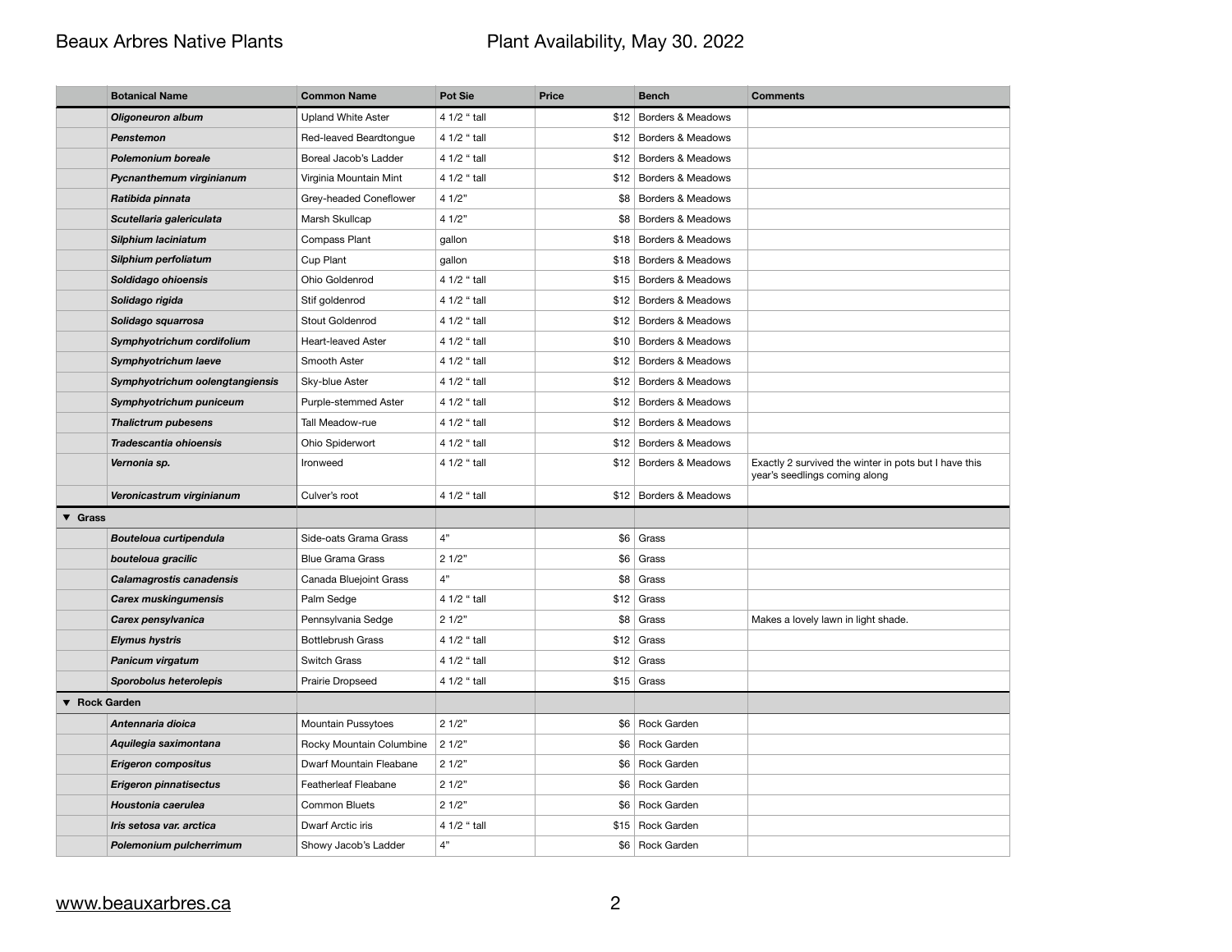# Beaux Arbres Native Plants **Plant Availability, May 30. 2022**

|                            | <b>Botanical Name</b>           | <b>Common Name</b>        | <b>Pot Sie</b> | <b>Price</b> | <b>Bench</b>             | <b>Comments</b>                                                                        |
|----------------------------|---------------------------------|---------------------------|----------------|--------------|--------------------------|----------------------------------------------------------------------------------------|
|                            | <b>Oligoneuron album</b>        | <b>Upland White Aster</b> | 4 1/2 " tall   |              | \$12 Borders & Meadows   |                                                                                        |
|                            | <b>Penstemon</b>                | Red-leaved Beardtongue    | 4 1/2 " tall   |              | \$12 Borders & Meadows   |                                                                                        |
|                            | <b>Polemonium boreale</b>       | Boreal Jacob's Ladder     | 4 1/2 " tall   |              | \$12 Borders & Meadows   |                                                                                        |
|                            | Pycnanthemum virginianum        | Virginia Mountain Mint    | 4 1/2 " tall   |              | \$12   Borders & Meadows |                                                                                        |
|                            | Ratibida pinnata                | Grey-headed Coneflower    | 41/2"          |              | \$8   Borders & Meadows  |                                                                                        |
|                            | Scutellaria galericulata        | Marsh Skullcap            | 41/2"          |              | \$8 Borders & Meadows    |                                                                                        |
|                            | Silphium laciniatum             | <b>Compass Plant</b>      | gallon         |              | \$18 Borders & Meadows   |                                                                                        |
|                            | Silphium perfoliatum            | Cup Plant                 | gallon         |              | \$18 Borders & Meadows   |                                                                                        |
|                            | Soldidago ohioensis             | Ohio Goldenrod            | 4 1/2 " tall   |              | \$15 Borders & Meadows   |                                                                                        |
|                            | Solidago rigida                 | Stif goldenrod            | 4 1/2 " tall   |              | \$12 Borders & Meadows   |                                                                                        |
|                            | Solidago squarrosa              | Stout Goldenrod           | 4 1/2 " tall   |              | \$12 Borders & Meadows   |                                                                                        |
|                            | Symphyotrichum cordifolium      | <b>Heart-leaved Aster</b> | 4 1/2 " tall   |              | \$10 Borders & Meadows   |                                                                                        |
|                            | Symphyotrichum laeve            | Smooth Aster              | 4 1/2 " tall   |              | \$12 Borders & Meadows   |                                                                                        |
|                            | Symphyotrichum oolengtangiensis | Sky-blue Aster            | 4 1/2 " tall   |              | \$12 Borders & Meadows   |                                                                                        |
|                            | Symphyotrichum puniceum         | Purple-stemmed Aster      | 4 1/2 " tall   |              | \$12 Borders & Meadows   |                                                                                        |
|                            | <b>Thalictrum pubesens</b>      | Tall Meadow-rue           | 4 1/2 " tall   |              | \$12 Borders & Meadows   |                                                                                        |
|                            | Tradescantia ohioensis          | Ohio Spiderwort           | 4 1/2 " tall   |              | \$12 Borders & Meadows   |                                                                                        |
|                            | Vernonia sp.                    | Ironweed                  | 4 1/2 " tall   |              | \$12 Borders & Meadows   | Exactly 2 survived the winter in pots but I have this<br>year's seedlings coming along |
|                            | Veronicastrum virginianum       | Culver's root             | 4 1/2 " tall   |              | \$12 Borders & Meadows   |                                                                                        |
| $\blacktriangledown$ Grass |                                 |                           |                |              |                          |                                                                                        |
|                            | <b>Bouteloua curtipendula</b>   | Side-oats Grama Grass     | 1"             |              | \$6 Grass                |                                                                                        |
|                            | bouteloua gracilic              | <b>Blue Grama Grass</b>   | 21/2"          |              | $$6 $ Grass              |                                                                                        |
|                            | <b>Calamagrostis canadensis</b> | Canada Bluejoint Grass    | 4"             |              | $$8 $ Grass              |                                                                                        |
|                            | <b>Carex muskingumensis</b>     | Palm Sedge                | 4 1/2 " tall   |              | $$12$ Grass              |                                                                                        |
|                            | Carex pensylvanica              | Pennsylvania Sedge        | 21/2"          |              | $$8 $ Grass              | Makes a lovely lawn in light shade.                                                    |
|                            | <b>Elymus hystris</b>           | <b>Bottlebrush Grass</b>  | 4 1/2 " tall   |              | $$12$ Grass              |                                                                                        |
|                            | Panicum virgatum                | <b>Switch Grass</b>       | 4 1/2 " tall   |              | $$12$ Grass              |                                                                                        |
|                            | <b>Sporobolus heterolepis</b>   | Prairie Dropseed          | 4 1/2 " tall   |              | $$15$ Grass              |                                                                                        |
| ▼ Rock Garden              |                                 |                           |                |              |                          |                                                                                        |
|                            | Antennaria dioica               | Mountain Pussytoes        | 21/2"          |              | \$6 Rock Garden          |                                                                                        |
|                            | Aquilegia saximontana           | Rocky Mountain Columbine  | 21/2"          |              | \$6 Rock Garden          |                                                                                        |
|                            | <b>Erigeron compositus</b>      | Dwarf Mountain Fleabane   | 21/2"          |              | \$6 Rock Garden          |                                                                                        |
|                            | <b>Erigeron pinnatisectus</b>   | Featherleaf Fleabane      | 21/2"          |              | \$6 Rock Garden          |                                                                                        |
|                            | Houstonia caerulea              | <b>Common Bluets</b>      | 21/2"          |              | \$6 Rock Garden          |                                                                                        |
|                            | Iris setosa var. arctica        | Dwarf Arctic iris         | 4 1/2 " tall   |              | \$15 Rock Garden         |                                                                                        |
|                            | Polemonium pulcherrimum         | Showy Jacob's Ladder      | 4"             |              | \$6 Rock Garden          |                                                                                        |